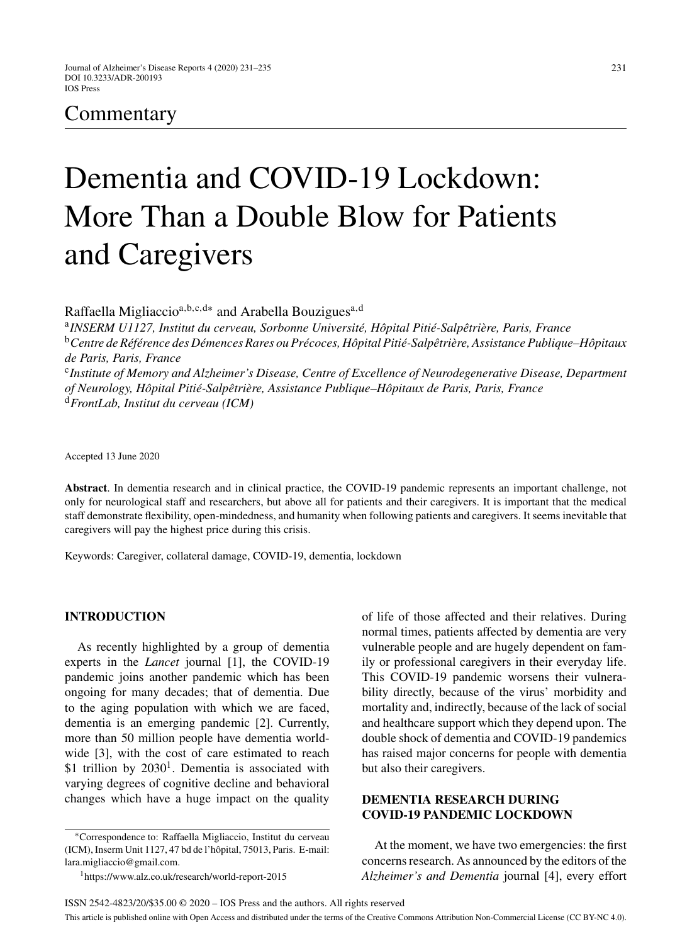# Commentary

# Dementia and COVID-19 Lockdown: More Than a Double Blow for Patients and Caregivers

Raffaella Migliaccio<sup>a,b,c,d\*</sup> and Arabella Bouzigues<sup>a,d</sup>

<sup>a</sup>INSERM U1127, Institut du cerveau, Sorbonne Université, Hôpital Pitié-Salpêtrière, Paris, France <sup>b</sup>Centre de Référence des Démences Rares ou Précoces, Hôpital Pitié-Salpêtrière, Assistance Publique–Hôpitaux *de Paris, Paris, France* <sup>c</sup>*Institute of Memory and Alzheimer's Disease, Centre of Excellence of Neurodegenerative Disease, Department of Neurology, H ˆopital Piti´e-Salpˆetri`ere, Assistance Publique–H ˆopitaux de Paris, Paris, France* <sup>d</sup>*FrontLab, Institut du cerveau (ICM)*

Accepted 13 June 2020

**Abstract**. In dementia research and in clinical practice, the COVID-19 pandemic represents an important challenge, not only for neurological staff and researchers, but above all for patients and their caregivers. It is important that the medical staff demonstrate flexibility, open-mindedness, and humanity when following patients and caregivers. It seems inevitable that caregivers will pay the highest price during this crisis.

Keywords: Caregiver, collateral damage, COVID-19, dementia, lockdown

# **INTRODUCTION**

As recently highlighted by a group of dementia experts in the *Lancet* journal [1], the COVID-19 pandemic joins another pandemic which has been ongoing for many decades; that of dementia. Due to the aging population with which we are faced, dementia is an emerging pandemic [2]. Currently, more than 50 million people have dementia worldwide [3], with the cost of care estimated to reach \$1 trillion by  $2030<sup>1</sup>$ . Dementia is associated with varying degrees of cognitive decline and behavioral changes which have a huge impact on the quality

of life of those affected and their relatives. During normal times, patients affected by dementia are very vulnerable people and are hugely dependent on family or professional caregivers in their everyday life. This COVID-19 pandemic worsens their vulnerability directly, because of the virus' morbidity and mortality and, indirectly, because of the lack of social and healthcare support which they depend upon. The double shock of dementia and COVID-19 pandemics has raised major concerns for people with dementia but also their caregivers.

# **DEMENTIA RESEARCH DURING COVID-19 PANDEMIC LOCKDOWN**

At the moment, we have two emergencies: the first concerns research. As announced by the editors of the *Alzheimer's and Dementia* journal [4], every effort

<sup>∗</sup>Correspondence to: Raffaella Migliaccio, Institut du cerveau (ICM), Inserm Unit 1127, 47 bd de l'hôpital, 75013, Paris. E-mail: [lara.migliaccio@gmail.com.](mailto:lara.migliaccio@gmail.com)

<sup>1</sup>https://www.alz.co.uk/research/world-report-2015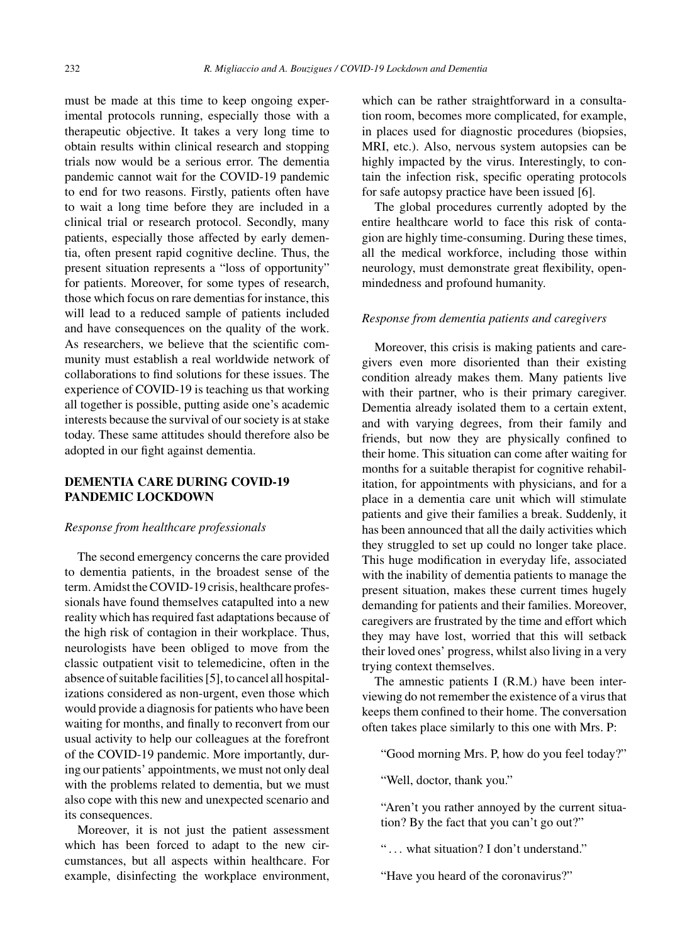must be made at this time to keep ongoing experimental protocols running, especially those with a therapeutic objective. It takes a very long time to obtain results within clinical research and stopping trials now would be a serious error. The dementia pandemic cannot wait for the COVID-19 pandemic to end for two reasons. Firstly, patients often have to wait a long time before they are included in a clinical trial or research protocol. Secondly, many patients, especially those affected by early dementia, often present rapid cognitive decline. Thus, the present situation represents a "loss of opportunity" for patients. Moreover, for some types of research, those which focus on rare dementias for instance, this will lead to a reduced sample of patients included and have consequences on the quality of the work. As researchers, we believe that the scientific community must establish a real worldwide network of collaborations to find solutions for these issues. The experience of COVID-19 is teaching us that working all together is possible, putting aside one's academic interests because the survival of our society is at stake today. These same attitudes should therefore also be adopted in our fight against dementia.

# **DEMENTIA CARE DURING COVID-19 PANDEMIC LOCKDOWN**

#### *Response from healthcare professionals*

The second emergency concerns the care provided to dementia patients, in the broadest sense of the term. Amidst the COVID-19 crisis, healthcare professionals have found themselves catapulted into a new reality which has required fast adaptations because of the high risk of contagion in their workplace. Thus, neurologists have been obliged to move from the classic outpatient visit to telemedicine, often in the absence of suitable facilities [5], to cancel all hospitalizations considered as non-urgent, even those which would provide a diagnosis for patients who have been waiting for months, and finally to reconvert from our usual activity to help our colleagues at the forefront of the COVID-19 pandemic. More importantly, during our patients' appointments, we must not only deal with the problems related to dementia, but we must also cope with this new and unexpected scenario and its consequences.

Moreover, it is not just the patient assessment which has been forced to adapt to the new circumstances, but all aspects within healthcare. For example, disinfecting the workplace environment,

which can be rather straightforward in a consultation room, becomes more complicated, for example, in places used for diagnostic procedures (biopsies, MRI, etc.). Also, nervous system autopsies can be highly impacted by the virus. Interestingly, to contain the infection risk, specific operating protocols for safe autopsy practice have been issued [6].

The global procedures currently adopted by the entire healthcare world to face this risk of contagion are highly time-consuming. During these times, all the medical workforce, including those within neurology, must demonstrate great flexibility, openmindedness and profound humanity.

# *Response from dementia patients and caregivers*

Moreover, this crisis is making patients and caregivers even more disoriented than their existing condition already makes them. Many patients live with their partner, who is their primary caregiver. Dementia already isolated them to a certain extent, and with varying degrees, from their family and friends, but now they are physically confined to their home. This situation can come after waiting for months for a suitable therapist for cognitive rehabilitation, for appointments with physicians, and for a place in a dementia care unit which will stimulate patients and give their families a break. Suddenly, it has been announced that all the daily activities which they struggled to set up could no longer take place. This huge modification in everyday life, associated with the inability of dementia patients to manage the present situation, makes these current times hugely demanding for patients and their families. Moreover, caregivers are frustrated by the time and effort which they may have lost, worried that this will setback their loved ones' progress, whilst also living in a very trying context themselves.

The amnestic patients I (R.M.) have been interviewing do not remember the existence of a virus that keeps them confined to their home. The conversation often takes place similarly to this one with Mrs. P:

"Good morning Mrs. P, how do you feel today?"

"Well, doctor, thank you."

"Aren't you rather annoyed by the current situation? By the fact that you can't go out?"

"... what situation? I don't understand."

"Have you heard of the coronavirus?"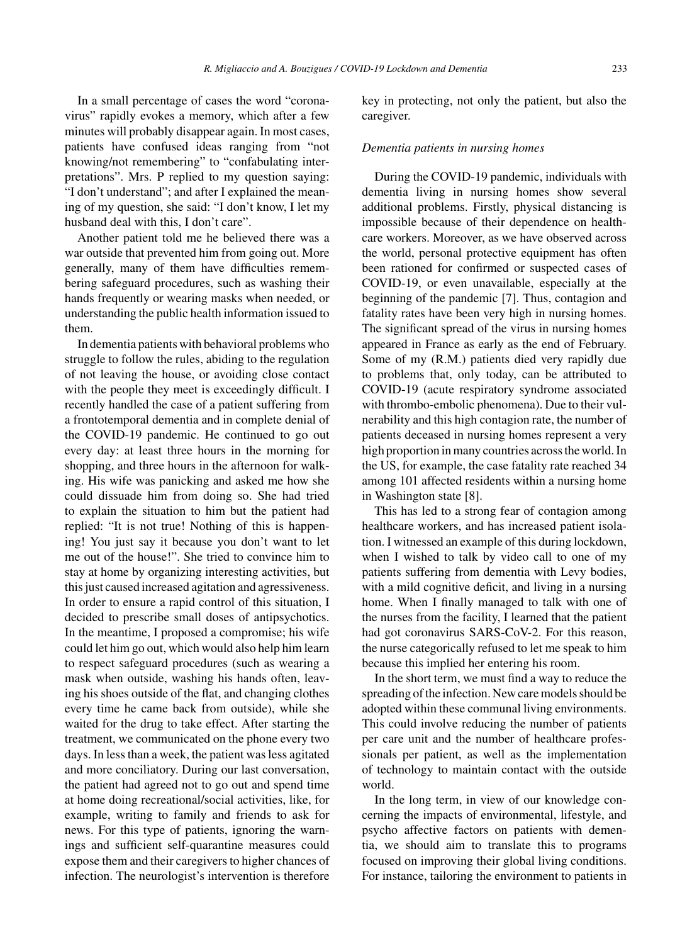In a small percentage of cases the word "coronavirus" rapidly evokes a memory, which after a few minutes will probably disappear again. In most cases, patients have confused ideas ranging from "not knowing/not remembering" to "confabulating interpretations". Mrs. P replied to my question saying: "I don't understand"; and after I explained the meaning of my question, she said: "I don't know, I let my husband deal with this, I don't care".

Another patient told me he believed there was a war outside that prevented him from going out. More generally, many of them have difficulties remembering safeguard procedures, such as washing their hands frequently or wearing masks when needed, or understanding the public health information issued to them.

In dementia patients with behavioral problems who struggle to follow the rules, abiding to the regulation of not leaving the house, or avoiding close contact with the people they meet is exceedingly difficult. I recently handled the case of a patient suffering from a frontotemporal dementia and in complete denial of the COVID-19 pandemic. He continued to go out every day: at least three hours in the morning for shopping, and three hours in the afternoon for walking. His wife was panicking and asked me how she could dissuade him from doing so. She had tried to explain the situation to him but the patient had replied: "It is not true! Nothing of this is happening! You just say it because you don't want to let me out of the house!". She tried to convince him to stay at home by organizing interesting activities, but this just caused increased agitation and agressiveness. In order to ensure a rapid control of this situation, I decided to prescribe small doses of antipsychotics. In the meantime, I proposed a compromise; his wife could let him go out, which would also help him learn to respect safeguard procedures (such as wearing a mask when outside, washing his hands often, leaving his shoes outside of the flat, and changing clothes every time he came back from outside), while she waited for the drug to take effect. After starting the treatment, we communicated on the phone every two days. In less than a week, the patient was less agitated and more conciliatory. During our last conversation, the patient had agreed not to go out and spend time at home doing recreational/social activities, like, for example, writing to family and friends to ask for news. For this type of patients, ignoring the warnings and sufficient self-quarantine measures could expose them and their caregivers to higher chances of infection. The neurologist's intervention is therefore

key in protecting, not only the patient, but also the caregiver.

#### *Dementia patients in nursing homes*

During the COVID-19 pandemic, individuals with dementia living in nursing homes show several additional problems. Firstly, physical distancing is impossible because of their dependence on healthcare workers. Moreover, as we have observed across the world, personal protective equipment has often been rationed for confirmed or suspected cases of COVID-19, or even unavailable, especially at the beginning of the pandemic [7]. Thus, contagion and fatality rates have been very high in nursing homes. The significant spread of the virus in nursing homes appeared in France as early as the end of February. Some of my (R.M.) patients died very rapidly due to problems that, only today, can be attributed to COVID-19 (acute respiratory syndrome associated with thrombo-embolic phenomena). Due to their vulnerability and this high contagion rate, the number of patients deceased in nursing homes represent a very high proportion in many countries across the world. In the US, for example, the case fatality rate reached 34 among 101 affected residents within a nursing home in Washington state [8].

This has led to a strong fear of contagion among healthcare workers, and has increased patient isolation. I witnessed an example of this during lockdown, when I wished to talk by video call to one of my patients suffering from dementia with Levy bodies, with a mild cognitive deficit, and living in a nursing home. When I finally managed to talk with one of the nurses from the facility, I learned that the patient had got coronavirus SARS-CoV-2. For this reason, the nurse categorically refused to let me speak to him because this implied her entering his room.

In the short term, we must find a way to reduce the spreading of the infection. New care models should be adopted within these communal living environments. This could involve reducing the number of patients per care unit and the number of healthcare professionals per patient, as well as the implementation of technology to maintain contact with the outside world.

In the long term, in view of our knowledge concerning the impacts of environmental, lifestyle, and psycho affective factors on patients with dementia, we should aim to translate this to programs focused on improving their global living conditions. For instance, tailoring the environment to patients in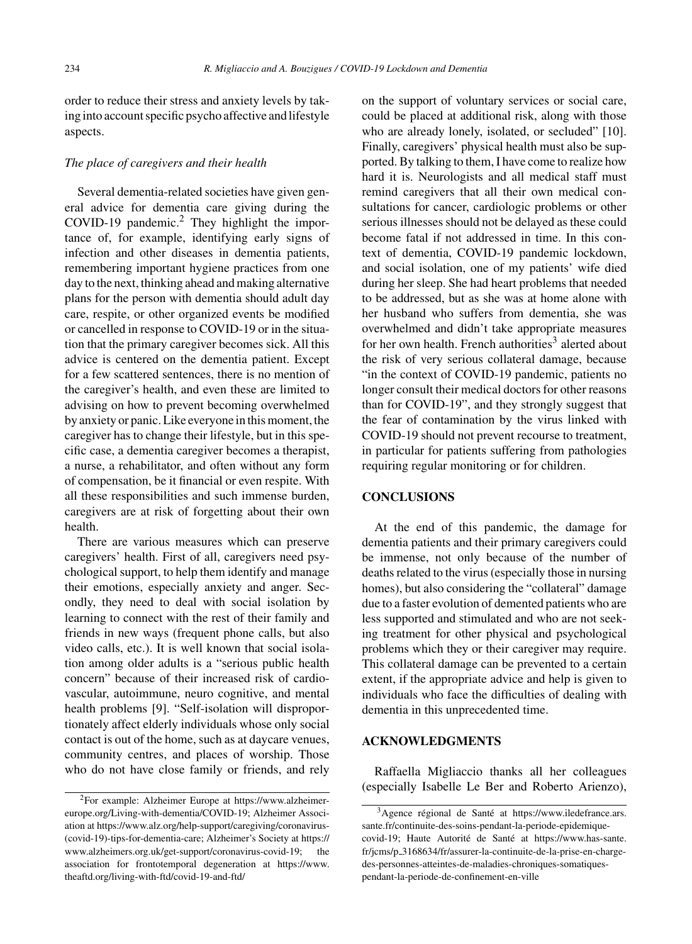order to reduce their stress and anxiety levels by taking into account specific psycho affective and lifestyle aspects.

## *The place of caregivers and their health*

Several dementia-related societies have given general advice for dementia care giving during the COVID-19 pandemic.<sup>2</sup> They highlight the importance of, for example, identifying early signs of infection and other diseases in dementia patients, remembering important hygiene practices from one day to the next, thinking ahead and making alternative plans for the person with dementia should adult day care, respite, or other organized events be modified or cancelled in response to COVID-19 or in the situation that the primary caregiver becomes sick. All this advice is centered on the dementia patient. Except for a few scattered sentences, there is no mention of the caregiver's health, and even these are limited to advising on how to prevent becoming overwhelmed by anxiety or panic. Like everyone in this moment, the caregiver has to change their lifestyle, but in this specific case, a dementia caregiver becomes a therapist, a nurse, a rehabilitator, and often without any form of compensation, be it financial or even respite. With all these responsibilities and such immense burden, caregivers are at risk of forgetting about their own health.

There are various measures which can preserve caregivers' health. First of all, caregivers need psychological support, to help them identify and manage their emotions, especially anxiety and anger. Secondly, they need to deal with social isolation by learning to connect with the rest of their family and friends in new ways (frequent phone calls, but also video calls, etc.). It is well known that social isolation among older adults is a "serious public health concern" because of their increased risk of cardiovascular, autoimmune, neuro cognitive, and mental health problems [9]. "Self-isolation will disproportionately affect elderly individuals whose only social contact is out of the home, such as at daycare venues, community centres, and places of worship. Those who do not have close family or friends, and rely on the support of voluntary services or social care, could be placed at additional risk, along with those who are already lonely, isolated, or secluded" [10]. Finally, caregivers' physical health must also be supported. By talking to them, I have come to realize how hard it is. Neurologists and all medical staff must remind caregivers that all their own medical consultations for cancer, cardiologic problems or other serious illnesses should not be delayed as these could become fatal if not addressed in time. In this context of dementia, COVID-19 pandemic lockdown, and social isolation, one of my patients' wife died during her sleep. She had heart problems that needed to be addressed, but as she was at home alone with her husband who suffers from dementia, she was overwhelmed and didn't take appropriate measures for her own health. French authorities<sup>3</sup> alerted about the risk of very serious collateral damage, because "in the context of COVID-19 pandemic, patients no longer consult their medical doctors for other reasons than for COVID-19", and they strongly suggest that the fear of contamination by the virus linked with COVID-19 should not prevent recourse to treatment, in particular for patients suffering from pathologies requiring regular monitoring or for children.

# **CONCLUSIONS**

At the end of this pandemic, the damage for dementia patients and their primary caregivers could be immense, not only because of the number of deaths related to the virus (especially those in nursing homes), but also considering the "collateral" damage due to a faster evolution of demented patients who are less supported and stimulated and who are not seeking treatment for other physical and psychological problems which they or their caregiver may require. This collateral damage can be prevented to a certain extent, if the appropriate advice and help is given to individuals who face the difficulties of dealing with dementia in this unprecedented time.

## **ACKNOWLEDGMENTS**

Raffaella Migliaccio thanks all her colleagues (especially Isabelle Le Ber and Roberto Arienzo),

<sup>2</sup>For example: Alzheimer Europe at [https://www.alzheimer](https://www.alzheimer-europe.org/Living-with-dementia/COVID-19)[europe.org/Living-with-dementia/COVID-19;](https://www.alzheimer-europe.org/Living-with-dementia/COVID-19) Alzheimer Association at [https://www.alz.org/help-support/caregiving/coronavirus-](https://www.alz.org/help-support/caregiving/coronavirus-(covid-19)-tips-for-dementia-care) (covid-19)-tips-for-dementia-care; Alzheimer's Society at [https://](https://www.alzheimers.org.uk/get-support/coronavirus-covid-19) [www.alzheimers.org.uk/get-support/coronavirus-covid-19;](https://www.alzheimers.org.uk/get-support/coronavirus-covid-19) the association for frontotemporal degeneration at [https://www.](https://www.theaftd.org/living-with-ftd/covid-19-and-ftd/) [theaftd.org/living-with-ftd/covid-19-and-ftd/](https://www.theaftd.org/living-with-ftd/covid-19-and-ftd/)

 $3A$ gence régional de Santé at [https://www.iledefrance.ars.](https://www.iledefrance.ars.sante.fr/continuite-des-soins-pendant-la-periode-epidemique-covid-19) [sante.fr/continuite-des-soins-pendant-la-periode-epidemique](https://www.iledefrance.ars.sante.fr/continuite-des-soins-pendant-la-periode-epidemique-covid-19)[covid-19](https://www.iledefrance.ars.sante.fr/continuite-des-soins-pendant-la-periode-epidemique-covid-19); Haute Autorité de Santé at [https://www.has-sante.](https://www.has-sante.fr/jcms/p_3168634/fr/assurer-la-continuite-de-la-prise-en-charge-des-personnes-atteintes-de-maladies-chroniques-somatiques-pendant-la-periode-de-confinement-en-ville) fr/jcms/p [3168634/fr/assurer-la-continuite-de-la-prise-en-charge](https://www.has-sante.fr/jcms/p_3168634/fr/assurer-la-continuite-de-la-prise-en-charge-des-personnes-atteintes-de-maladies-chroniques-somatiques-pendant-la-periode-de-confinement-en-ville)des-personnes-atteintes-de-maladies-chroniques-somatiquespendant-la-periode-de-confinement-en-ville